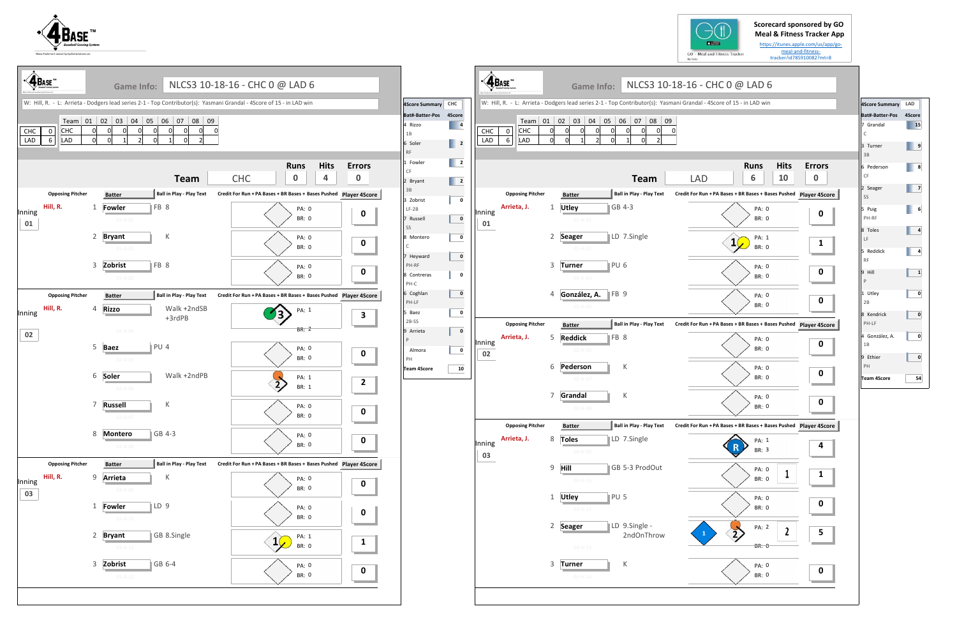



|              | <b>ABASE</b>                         |                | Game Info:<br>W: Hill, R. - L: Arrieta - Dodgers lead series 2-1 - Top Contributor(s): Yasmani Grandal - 4Score of 15 - in LAD win | NLCS3 10-18-16 - CHC 0 @ LAD 6                                                                                                    |                                         | 4Score Summary CHC                                                                                                                                                                                                                                                                                                                                                                                                                                                                                                                        | $\cdot$ $\mathbf{A}_{\text{Base}}$                  | <b>Game Info:</b><br>W: Hill, R. - L: Arrieta - Dodgers lead series 2-1 - Top Contributor(s): Yasmani Grandal - 4Score of 15 - in LAD win | NLCS3 10-18-16 - CHC 0 @ LAD 6                                                                                       |                  |
|--------------|--------------------------------------|----------------|------------------------------------------------------------------------------------------------------------------------------------|-----------------------------------------------------------------------------------------------------------------------------------|-----------------------------------------|-------------------------------------------------------------------------------------------------------------------------------------------------------------------------------------------------------------------------------------------------------------------------------------------------------------------------------------------------------------------------------------------------------------------------------------------------------------------------------------------------------------------------------------------|-----------------------------------------------------|-------------------------------------------------------------------------------------------------------------------------------------------|----------------------------------------------------------------------------------------------------------------------|------------------|
| CHC<br>LAD   | CHC<br>$\mathbf 0$<br>$\,6\,$<br>LAD | ΩI<br>$\Omega$ | Team 01 02 03 04 05 06 07 08 09<br>$\Omega$<br>$\Omega$<br>$\Omega$<br>$\Omega$                                                    | $\Omega$                                                                                                                          |                                         | Bat#-Batter-Pos 4Score<br>$\begin{array}{ c c c }\n\hline\n\textbf{4} & \textbf{5} \\ \hline\n\textbf{5} & \textbf{6} \\ \hline\n\textbf{6} & \textbf{7} \\ \hline\n\textbf{7} & \textbf{8} \\ \hline\n\textbf{8} & \textbf{10} \\ \hline\n\textbf{10} & \textbf{10} \\ \hline\n\textbf{11} & \textbf{10} \\ \hline\n\textbf{12} & \textbf{10} \\ \hline\n\textbf{13} & \textbf{10} \\ \hline\n\textbf{14} & \textbf{10} \\ \hline\n\textbf{15} & \textbf$<br>4 Rizzo<br>1B<br>$\begin{array}{ c c c }\n\hline\n\end{array}$ 2<br>6 Soler | <b>CHC</b><br>CHC<br>$\mathbf 0$<br>LAD<br>6<br>LAD | Team 01 02 03 04 05 06 07 08 09<br>$\Omega$<br>$\overline{0}$<br>$\Omega$<br>$\Omega$<br>$\Omega$<br>$\Omega$<br>$\Omega$<br>$\Omega$     | $\overline{0}$                                                                                                       |                  |
|              | <b>Opposing Pitcher</b>              |                | Team<br>Ball in Play - Play Text<br><b>Batter</b>                                                                                  | <b>Hits</b><br><b>Runs</b><br>4<br><b>CHC</b><br>$\mathbf 0$<br>Credit For Run + PA Bases + BR Bases + Bases Pushed Player 4Score | <b>Errors</b><br>$\bf{0}$               | <b>RF</b><br>$\begin{array}{ c c c }\n\hline\n\hline\n\end{array}$<br>1 Fowler<br>CF<br>$\begin{array}{ c c c }\n\hline\n\hline\n\end{array}$ 2<br>2 Bryant<br>3B                                                                                                                                                                                                                                                                                                                                                                         | <b>Opposing Pitcher</b>                             | <b>Team</b><br>Ball in Play - Play Text<br><b>Batter</b>                                                                                  | <b>Hits</b><br><b>Runs</b><br>10<br>6<br><b>LAD</b><br>Credit For Run + PA Bases + BR Bases + Bases Pushed Player 49 | Erro<br>$\bf{0}$ |
| Inning<br>01 | Hill, R.                             |                | FB 8<br>1 Fowler<br>$01 - A - 01$<br>2 Bryant<br>К                                                                                 | <b>PA: 0</b><br><b>BR: 0</b><br>PA: 0                                                                                             | $\mathbf 0$<br>$\mathbf 0$              | 3 Zobrist<br>$\mathbf 0$<br>$LF-2B$<br>$\overline{\mathbf{0}}$<br>Russell<br>SS<br>$\mathbf{0}$<br>8 Montero                                                                                                                                                                                                                                                                                                                                                                                                                              | Arrieta, J.<br>Inning<br>01                         | GB 4-3<br>Utley<br>-1<br>$01 - H - 01$<br>LD 7.Single<br>2 Seager                                                                         | PA: 0<br>BR: 0<br>PA: 1<br>$1\sqrt{ }$                                                                               |                  |
|              |                                      |                | $01 - A - 02$<br>FB 8<br>3 Zobrist<br>$01 - A - 03$                                                                                | BR: 0<br>PA: 0<br><b>BR: 0</b>                                                                                                    | $\mathbf 0$                             | $\mathsf{C}$<br>$\pmb{0}$<br>7 Heyward<br>PH-RF<br>8 Contreras<br>$\mathbf 0$<br>PH-C                                                                                                                                                                                                                                                                                                                                                                                                                                                     |                                                     | 01-H-02<br>PU <sub>6</sub><br>3<br><b>Turner</b><br>$01 - H - 03$                                                                         | BR: 0<br>PA: 0<br>BR: 0                                                                                              | $\mathbf 0$      |
| Inning<br>02 | <b>Opposing Pitcher</b><br>Hill, R.  |                | Ball in Play - Play Text<br><b>Batter</b><br>Walk +2ndSB<br>4 Rizzo<br>+3rdPB<br>$02 - A - 04$                                     | Credit For Run + PA Bases + BR Bases + Bases Pushed Player 4Score<br>PA: 1<br>BR: 2                                               | $\mathbf{3}$                            | 6 Coghlan<br>$\mathbf 0$<br>PH-LF<br>$\mathbf{0}$<br>5 Baez<br>2B-SS<br>$\mathbf 0$<br>9 Arrieta<br>P                                                                                                                                                                                                                                                                                                                                                                                                                                     | <b>Opposing Pitcher</b><br>Arrieta, J.<br>Inning    | FB 9<br>González, A.<br>4<br>$01-H-04$<br><b>Ball in Play - Play Text</b><br><b>Batter</b><br>FB 8<br>5<br><b>Reddick</b>                 | PA: 0<br><b>BR: 0</b><br>Credit For Run + PA Bases + BR Bases + Bases Pushed Player 49<br>PA: 0                      | $\mathbf 0$      |
|              |                                      |                | 5 Baez<br>PU 4<br>$02 - A - 05$<br>Walk +2ndPB<br>6 Soler<br>$02 - A - 06$                                                         | PA: 0<br>BR: 0<br>PA: 1<br>BR: 1                                                                                                  | $\mathbf 0$<br>$\overline{2}$           | $\overline{\mathbf{0}}$<br>Almora<br>PH<br>10<br><b>Team 4Score</b>                                                                                                                                                                                                                                                                                                                                                                                                                                                                       | 02                                                  | $02 - H - 05$<br>К<br>6<br>Pederson<br>$02-H-07$                                                                                          | BR: 0<br>PA: 0<br>BR: 0                                                                                              |                  |
|              |                                      |                | 7 Russell<br>К                                                                                                                     | PA: 0<br>BR: 0                                                                                                                    | $\mathbf 0$<br><b>Contract Contract</b> |                                                                                                                                                                                                                                                                                                                                                                                                                                                                                                                                           | <b>Opposing Pitcher</b>                             | $\,$ K<br>7<br>Grandal<br>$02 - H - 08$<br>Ball in Play - Play Text<br><b>Batter</b>                                                      | PA: 0<br>BR: 0<br>Credit For Run + PA Bases + BR Bases + Bases Pushed Player 49                                      |                  |
|              | <b>Opposing Pitcher</b>              |                | 8 Montero<br>$\vert$ GB 4-3<br>$02 - A - 08$<br>Ball in Play - Play Text<br><b>Batter</b>                                          | PA: 0<br>BR: 0<br>Credit For Run + PA Bases + BR Bases + Bases Pushed                                                             | $\mathbf 0$<br><b>Player 4Score</b>     |                                                                                                                                                                                                                                                                                                                                                                                                                                                                                                                                           | Arrieta, J.<br>Inning<br>03                         | <b>Toles</b><br>LD 7.Single<br>8<br>03-H-09                                                                                               | PA: 1<br>BR: 3                                                                                                       |                  |
| Inning<br>03 | Hill, R.                             |                | 9 Arrieta<br>К<br>03-A-09<br>LD 9<br>1 Fowler                                                                                      | PA: 0<br><b>BR: 0</b>                                                                                                             | $\mathbf 0$                             |                                                                                                                                                                                                                                                                                                                                                                                                                                                                                                                                           |                                                     | $9$ Hill<br>GB 5-3 ProdOut<br>$03 - H - 11$<br>1 Utley<br>PU <sub>5</sub>                                                                 | PA: 0<br>BR: 0<br>PA: 0                                                                                              | 1                |
|              |                                      |                | $03 - A - 10$<br>GB 8.Single<br>2 Bryant<br>$03 - A - 11$                                                                          | PA: 0<br>BR: 0<br>PA: 1<br>$1\sqrt{ }$<br>BR: 0                                                                                   | $\mathbf 0$<br>$\mathbf{1}$             |                                                                                                                                                                                                                                                                                                                                                                                                                                                                                                                                           |                                                     | $03-H-12$<br>LD 9.Single -<br>2 Seager<br>2ndOnThrow<br>$03 - H - 13$                                                                     | BR: 0<br>PA: 2<br>$\overline{\mathbf{2}}$<br><b>BR: 0</b>                                                            |                  |
|              |                                      |                | 3 Zobrist<br>GB 6-4<br>$03 - A - 12$                                                                                               | PA: 0<br>BR: 0                                                                                                                    | $\mathbf 0$<br><b>Contract Contract</b> |                                                                                                                                                                                                                                                                                                                                                                                                                                                                                                                                           |                                                     | K<br>3 Turner<br>$03-H-14$                                                                                                                | PA: 0<br>BR: 0                                                                                                       | O                |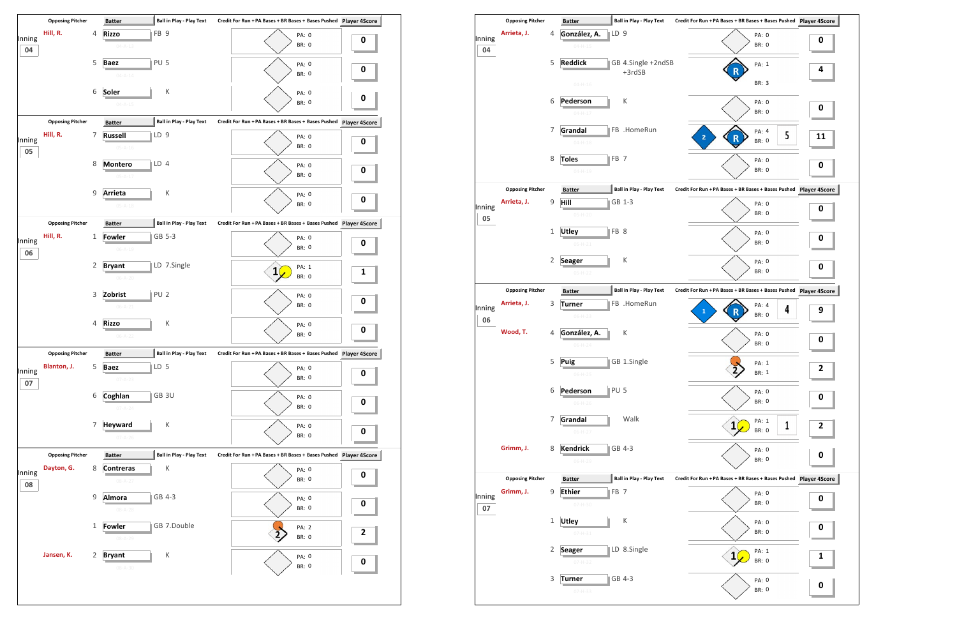

|              |                         |              | Datter                         |                 |                                 |                                        |   |            |
|--------------|-------------------------|--------------|--------------------------------|-----------------|---------------------------------|----------------------------------------|---|------------|
| Inning<br>04 | Arrieta, J.             | 4            | González, A.<br>$04 - H - 15$  | $\mathbb{ID}9$  |                                 |                                        |   | PA:<br>BR: |
|              |                         | 5            | <b>Reddick</b>                 |                 | GB 4.Single +2ndSB              |                                        |   | PA:        |
|              |                         |              | $04 - H - 16$                  |                 | +3rdSB                          |                                        |   | BR:        |
|              |                         | 6            | Pederson<br>$04 - H - 17$      |                 | К                               |                                        |   | PA:<br>BR: |
|              |                         | 7            | Grandal<br>$04 - H - 18$       |                 | FB .HomeRun                     | $\overline{2}$                         | R | PA:<br>BR: |
|              |                         | 8            | <b>Toles</b><br>$04 - H - 19$  | FB <sub>7</sub> |                                 |                                        |   | PA:<br>BR: |
|              | <b>Opposing Pitcher</b> |              | <b>Batter</b>                  |                 | <b>Ball in Play - Play Text</b> | Credit For Run + PA Bases + BR Bases + |   |            |
| Inning<br>05 | Arrieta, J.             | 9            | Hill<br>$05-H-20$              |                 | GB 1-3                          |                                        |   | PA:<br>BR: |
|              |                         | $\mathbf{1}$ | <b>Utley</b><br>$05 - H - 21$  | FB <sub>8</sub> |                                 |                                        |   | PA:<br>BR: |
|              |                         | 2            | <b>Seager</b><br>$05-H-22$     |                 | К                               |                                        |   | PA:<br>BR: |
|              | <b>Opposing Pitcher</b> |              | <b>Batter</b>                  |                 | <b>Ball in Play - Play Text</b> | Credit For Run + PA Bases + BR Bases + |   |            |
| Inning<br>06 | Arrieta, J.             | 3            | <b>Turner</b><br>$06-H-23$     |                 | FB .HomeRun                     | $\mathbf{1}$                           | R | PA:<br>BR: |
|              | Wood, T.                | 4            | González, A.<br>$06 - H - 24$  |                 | К                               |                                        |   | PA:<br>BR: |
|              |                         | 5            | Puig<br>$06 - H - 25$          |                 | GB 1.Single                     |                                        |   | PA:<br>BR: |
|              |                         | 6            | Pederson<br>$06-H-26$          | PU <sub>5</sub> |                                 |                                        |   | PA:<br>BR: |
|              |                         | 7            | Grandal<br>$06-H-27$           |                 | Walk                            |                                        | 1 | PA:<br>BR: |
|              | Grimm, J.               | 8            | <b>Kendrick</b><br>$06-H-29$   |                 | GB 4-3                          |                                        |   | PA:<br>BR: |
|              | <b>Opposing Pitcher</b> |              | <b>Batter</b>                  |                 | <b>Ball in Play - Play Text</b> | Credit For Run + PA Bases + BR Bases + |   |            |
| Inning<br>07 | Grimm, J.               | 9            | <b>Ethier</b><br>$07 - H - 30$ | FB <sub>7</sub> |                                 |                                        |   | PA:<br>BR: |
|              |                         | $\mathbf 1$  | <b>Utley</b><br>$07 - H - 31$  |                 | К                               |                                        |   | PA:<br>BR: |
|              |                         | 2            | <b>Seager</b><br>07-H-32       |                 | LD 8.Single                     |                                        | 1 | PA:<br>BR: |
|              |                         | 3            | Turner                         |                 | GB 4-3                          |                                        |   | PA:<br>BR: |
|              |                         |              | $07-H-33$                      |                 |                                 |                                        |   |            |

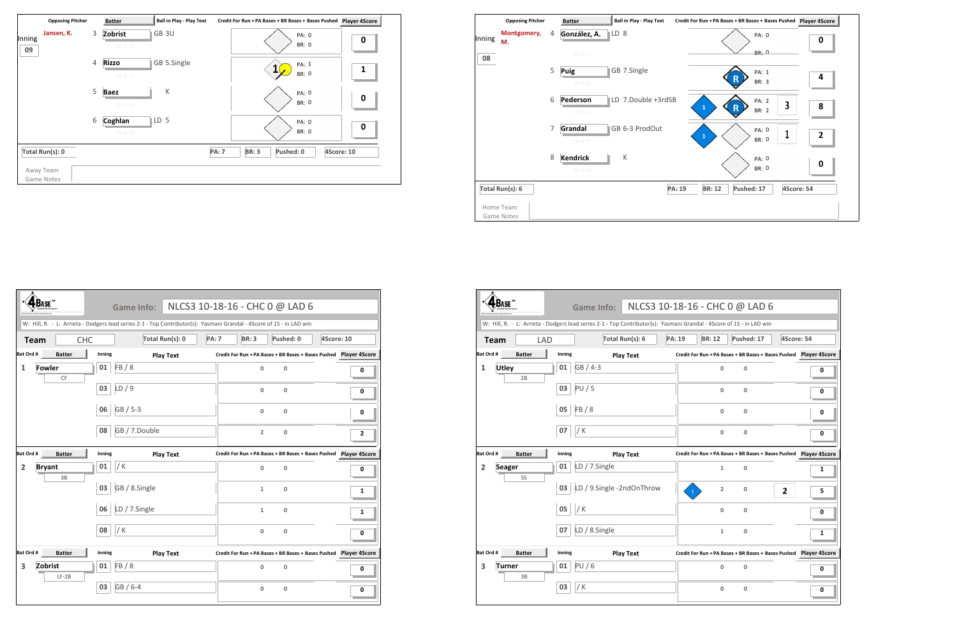|                            | <b>Opposing Pitcher</b> | <b>Batter</b>                 | <b>Ball in Play - Play Text</b> | Credit For Run + PA Bases + BR Bases + Bases Pushed     | <b>Player 4Score</b> |
|----------------------------|-------------------------|-------------------------------|---------------------------------|---------------------------------------------------------|----------------------|
| Jansen, K.<br>Inning<br>09 | 3                       | Zobrist<br>$09 - A - 32$      | GB 3U                           | PA: 0<br><b>BR: 0</b>                                   | 0                    |
|                            | 4                       | <b>Rizzo</b><br>$09 - A - 33$ | GB 5.Single                     | PA: 1<br><b>BR: 0</b>                                   | 1                    |
|                            | 5                       | <b>Baez</b><br>$09 - A - 34$  | К                               | PA: 0<br>BR: 0                                          | $\boldsymbol{0}$     |
|                            | 6                       | Coghlan<br>$09 - A - 35$      | LD <sub>5</sub>                 | PA: 0<br><b>BR: 0</b>                                   | $\boldsymbol{0}$     |
| Total Run(s): 0            |                         |                               |                                 | <b>BR: 3</b><br>Pushed: 0<br>4Score: 10<br><b>PA: 7</b> |                      |
| Away Team<br>Game Notes    |                         |                               |                                 |                                                         |                      |

|        | <b>Opposing Pitcher</b> |   | <b>Batter</b>                    | <b>Ball in Play - Play Text</b> | Credit For Run + PA Bases + BR Bases + Bases Pushed Player 4S |                         |
|--------|-------------------------|---|----------------------------------|---------------------------------|---------------------------------------------------------------|-------------------------|
| Inning | Montgomery,<br>M.       | 4 | González, A.                     | LD 8                            | PA: 0                                                         | 0                       |
| 08     |                         |   | $08 - H - 34$                    |                                 | <b>BR: 0</b>                                                  |                         |
|        |                         | 5 | <b>Puig</b><br>$08 - H - 35$     | GB 7.Single                     | PA: 1<br>R<br>BR: 3                                           | 4                       |
|        |                         | 6 | Pederson<br>$08 - H - 36$        | LD 7.Double +3rdSB              | PA: 2<br>3<br>$\mathbf R$<br>$\mathbf{1}$<br><b>BR: 2</b>     | 8                       |
|        |                         | 7 | Grandal<br>08-H-37               | GB 6-3 ProdOut                  | PA: 0<br>$\mathbf{1}$<br>BR: 0                                | $\overline{\mathbf{c}}$ |
|        |                         | 8 | <b>Kendrick</b><br>$08 - H - 38$ | К                               | PA: 0<br>BR: 0                                                | 0                       |
|        | Total Run(s): 6         |   |                                  |                                 | PA: 19<br><b>BR: 12</b><br>Pushed: 17                         | 4Score: 54              |
|        | Home Team<br>Game Notes |   |                                  |                                 |                                                               |                         |



|                |                     |            | <b>Game Info:</b>                                                                                                    |               |                | NLCS3 10-18-16 - CHC 0 @ LAD 6                                    |              |   |
|----------------|---------------------|------------|----------------------------------------------------------------------------------------------------------------------|---------------|----------------|-------------------------------------------------------------------|--------------|---|
|                |                     |            | W: Hill, R. - L: Arrieta - Dodgers lead series 2-1 - Top Contributor(s): Yasmani Grandal - 4Score of 15 - in LAD win |               |                |                                                                   |              |   |
|                | <b>Team</b>         | <b>LAD</b> | Total Run(s): 6                                                                                                      | <b>PA: 19</b> | <b>BR: 12</b>  | Pushed: 17                                                        | 4Score: 54   |   |
| Bat Ord #      | <b>Batter</b>       | Inning     | <b>Play Text</b>                                                                                                     |               |                | Credit For Run + PA Bases + BR Bases + Bases Pushed Player 4Score |              |   |
| 1              | <b>Utley</b><br>2B  | 01         | GB / 4-3                                                                                                             |               | 0              | $\mathbf 0$                                                       |              | 0 |
|                |                     | 03         | PU/5                                                                                                                 |               | 0              | 0                                                                 |              | 0 |
|                |                     | 05         | FB/8                                                                                                                 |               | $\Omega$       | 0                                                                 |              | 0 |
|                |                     | 07         | / K                                                                                                                  |               | 0              | 0                                                                 |              | 0 |
| Bat Ord #      | <b>Batter</b>       | Inning     | <b>Play Text</b>                                                                                                     |               |                | Credit For Run + PA Bases + BR Bases + Bases Pushed Player 4Score |              |   |
| $\overline{2}$ | <b>Seager</b><br>SS | 01         | LD / 7.Single                                                                                                        |               | $\mathbf{1}$   | $\mathbf 0$                                                       |              | 1 |
|                |                     | 03         | LD / 9.Single -2ndOnThrow                                                                                            | $\mathbf{1}$  | $\overline{2}$ | 0                                                                 | $\mathbf{2}$ | 5 |
|                |                     | 05         | /K                                                                                                                   |               | $\mathbf 0$    | 0                                                                 |              | 0 |
|                |                     | 07         | LD / 8.Single                                                                                                        |               | $\mathbf{1}$   | 0                                                                 |              | 1 |
| Bat Ord #      | <b>Batter</b>       | Inning     | <b>Play Text</b>                                                                                                     |               |                | Credit For Run + PA Bases + BR Bases + Bases Pushed Player 4Score |              |   |
| 3              | Turner<br>3B        | 01         | PU/6                                                                                                                 |               | 0              | $\mathbf 0$                                                       |              | 0 |
|                |                     | 03         | / K                                                                                                                  |               | 0              | 0                                                                 |              | 0 |
|                |                     |            |                                                                                                                      |               |                |                                                                   |              |   |

|                |                     |        | Game Info:                                                                                                           |              | NLCS3 10-18-16 - CHC 0 @ LAD 6                                    |             |            |   |
|----------------|---------------------|--------|----------------------------------------------------------------------------------------------------------------------|--------------|-------------------------------------------------------------------|-------------|------------|---|
|                |                     |        | W: Hill, R. - L: Arrieta - Dodgers lead series 2-1 - Top Contributor(s): Yasmani Grandal - 4Score of 15 - in LAD win |              |                                                                   |             |            |   |
| <b>Team</b>    | <b>CHC</b>          |        | Total Run(s): 0                                                                                                      | <b>PA: 7</b> | <b>BR: 3</b>                                                      | Pushed: 0   | 4Score: 10 |   |
| Bat Ord #      | <b>Batter</b>       | Inning | <b>Play Text</b>                                                                                                     |              | Credit For Run + PA Bases + BR Bases + Bases Pushed Player 4Score |             |            |   |
| 1              | <b>Fowler</b><br>CF | 01     | FB/8                                                                                                                 |              | $\Omega$                                                          | $\mathbf 0$ |            | 0 |
|                |                     | 03     | LD/9                                                                                                                 |              | 0                                                                 | $\mathbf 0$ |            | 0 |
|                |                     | 06     | GB / 5-3                                                                                                             |              | $\Omega$                                                          | $\mathbf 0$ |            | 0 |
|                |                     | 08     | GB / 7.Double                                                                                                        |              | $\overline{2}$                                                    | $\mathbf 0$ |            | 2 |
| Bat Ord #      | <b>Batter</b>       | Inning | <b>Play Text</b>                                                                                                     |              | Credit For Run + PA Bases + BR Bases + Bases Pushed Player 4Score |             |            |   |
| $\overline{2}$ | <b>Bryant</b><br>3B | 01     | / K                                                                                                                  |              | $\Omega$                                                          | $\mathbf 0$ |            | 0 |
|                |                     | 03     | GB / 8.Single                                                                                                        |              | $\mathbf{1}$                                                      | $\mathbf 0$ |            | 1 |
|                |                     | 06     | LD / 7.Single                                                                                                        |              | $\mathbf{1}$                                                      | $\mathbf 0$ |            | 1 |
|                |                     | 08     | / $K$                                                                                                                |              | 0                                                                 | $\mathbf 0$ |            | 0 |
| Bat Ord #      | <b>Batter</b>       | Inning | <b>Play Text</b>                                                                                                     |              | Credit For Run + PA Bases + BR Bases + Bases Pushed Player 4Score |             |            |   |
| 3              | Zobrist<br>$LF-2B$  | 01     | FB/8                                                                                                                 |              | $\mathbf 0$                                                       | $\mathbf 0$ |            | 0 |
|                |                     | 03     | GB / 6-4                                                                                                             |              | $\Omega$                                                          | $\mathbf 0$ |            | 0 |

|             | CHC 0 @ LAD 6                                           |            |                                                      |
|-------------|---------------------------------------------------------|------------|------------------------------------------------------|
|             | - 4Score of 15 - in LAD win                             |            |                                                      |
| R: 12       | Pushed: 17                                              | 4Score: 54 |                                                      |
|             | In +PA Bases + BR Bases + Bases Pushed  Player 4Score   |            |                                                      |
| 0           | 0                                                       |            | 0                                                    |
| 0           | 0                                                       |            | 0                                                    |
| 0           | 0                                                       |            | 0                                                    |
| 0           | 0                                                       |            | 0                                                    |
|             |                                                         |            |                                                      |
|             |                                                         |            | In +PA Bases + BR Bases + Bases Pushed Player 4Score |
| $\mathbf 1$ | 0                                                       |            | 1                                                    |
| 2           | 0                                                       | 2          | 5                                                    |
| 0           | 0                                                       |            | 0                                                    |
| 1           | 0                                                       |            | 1                                                    |
|             | In +PA Bases + BR Bases + Bases Pushed    Player 4Score |            |                                                      |
| 0           | 0                                                       |            | 0                                                    |
| 0           | 0                                                       |            | 0                                                    |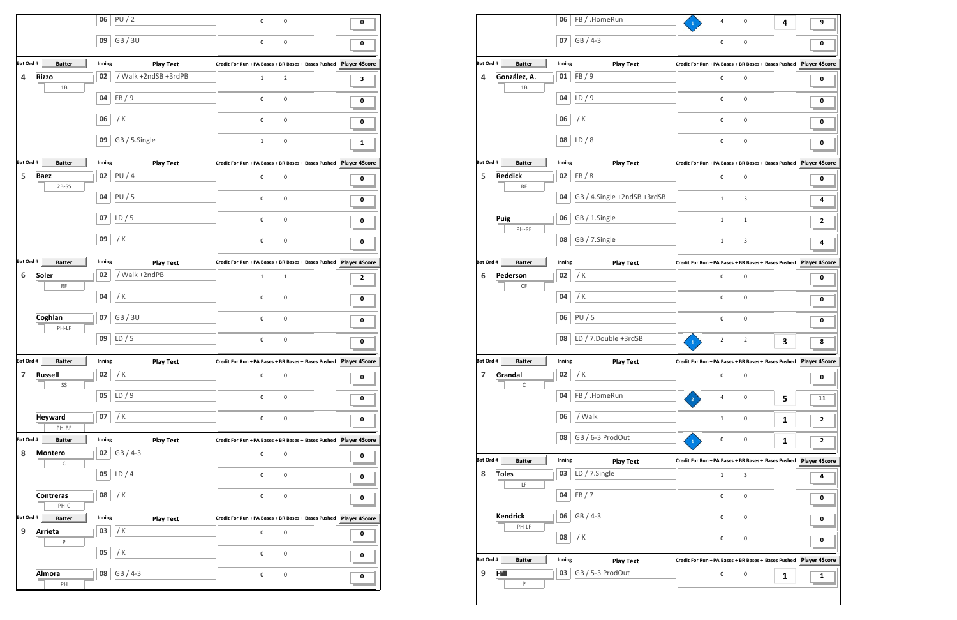|                |                          | 06     | PU/2                 | $\pmb{0}$<br>0                                                       | 0 |  |
|----------------|--------------------------|--------|----------------------|----------------------------------------------------------------------|---|--|
|                |                          | 09     | <b>GB/3U</b>         | 0<br>0                                                               | 0 |  |
| Bat Ord #      | <b>Batter</b>            | Inning | <b>Play Text</b>     | Credit For Run + PA Bases + BR Bases + Bases Pushed    Player 4Score |   |  |
| 4              | <b>Rizzo</b><br>1B       | 02     | / Walk +2ndSB +3rdPB | $\mathbf{1}$<br>$\overline{2}$                                       | 3 |  |
|                |                          | 04     | FB/9                 | 0<br>0                                                               | 0 |  |
|                |                          | 06     | / K                  | 0<br>0                                                               | 0 |  |
|                |                          | 09     | GB / 5.Single        | 0<br>$\mathbf{1}$                                                    | 1 |  |
| Bat Ord #      | <b>Batter</b>            | Inning | <b>Play Text</b>     | Credit For Run + PA Bases + BR Bases + Bases Pushed    Player 4Score |   |  |
| 5              | <b>Baez</b><br>$2B-SS$   | 02     | PU/4                 | $\mathbf 0$<br>$\pmb{0}$                                             | 0 |  |
|                |                          | 04     | PU/5                 | $\mathbf 0$<br>0                                                     | 0 |  |
|                |                          | 07     | LD/5                 | 0<br>0                                                               | 0 |  |
|                |                          | 09     | / K                  | 0<br>0                                                               | 0 |  |
| Bat Ord #      | <b>Batter</b>            | Inning | <b>Play Text</b>     | Credit For Run + PA Bases + BR Bases + Bases Pushed    Player 4Score |   |  |
| 6              | Soler                    | 02     | / Walk +2ndPB        | $\mathbf{1}$<br>$\mathbf 1$                                          | 2 |  |
|                | <b>RF</b>                | 04     | / $K$                | $\mathbf 0$<br>0                                                     | 0 |  |
|                | Coghlan                  | 07     | <b>GB/3U</b>         | 0<br>0                                                               | 0 |  |
|                | PH-LF                    | 09     | LD/5                 | 0<br>0                                                               | 0 |  |
| Bat Ord #      | л.<br><b>Batter</b>      | Inning | <b>Play Text</b>     | Credit For Run + PA Bases + BR Bases + Bases Pushed Player 4Score    |   |  |
| $\overline{7}$ | <b>Russell</b>           | 02     | / K                  | 0<br>$\pmb{0}$                                                       | 0 |  |
|                | SS                       | 05     | LD/9                 | 0<br>$\pmb{0}$                                                       | 0 |  |
|                | <b>Heyward</b>           | 07     | / K                  | $\pmb{0}$<br>$\pmb{0}$                                               | 0 |  |
|                | PH-RF                    |        |                      |                                                                      |   |  |
| Bat Ord #      | <b>Batter</b>            | Inning | <b>Play Text</b>     | Credit For Run + PA Bases + BR Bases + Bases Pushed    Player 4Score |   |  |
| 8              | <b>Montero</b><br>С      | 02     | GB / 4-3             | $\mathsf{O}\xspace$<br>$\mathsf 0$                                   | 0 |  |
|                |                          | 05     | LD/4                 | $\pmb{0}$<br>0                                                       | 0 |  |
|                | <b>Contreras</b><br>PH-C | 08     | / K                  | 0<br>$\pmb{0}$                                                       | 0 |  |
| Bat Ord #      | <b>Batter</b>            | Inning | <b>Play Text</b>     | Credit For Run + PA Bases + BR Bases + Bases Pushed    Player 4Score |   |  |
| 9              | Arrieta                  | 03     | / K                  | $\mathsf 0$<br>$\mathbf 0$                                           | 0 |  |
|                | P                        | 05     | / K                  | 0<br>0                                                               | 0 |  |
|                |                          |        |                      |                                                                      |   |  |
|                | Almora                   | 08     | GB / 4-3             | $\pmb{0}$<br>$\pmb{0}$                                               | 0 |  |
|                | PH                       |        |                      |                                                                      |   |  |

| 4           | 0                                       | 4 | 9                                                      |
|-------------|-----------------------------------------|---|--------------------------------------------------------|
| 0           | 0                                       |   | 0                                                      |
|             | un + PA Bases + BR Bases + Bases Pushed |   | <b>Player 4Score</b>                                   |
| 0           | 0                                       |   | 0                                                      |
|             |                                         |   |                                                        |
| 0           | 0                                       |   | 0                                                      |
| 0           | 0                                       |   | 0                                                      |
| 0           | 0                                       |   | 0                                                      |
|             | un + PA Bases + BR Bases + Bases Pushed |   | <b>Player 4Score</b>                                   |
| 0           | 0                                       |   | 0                                                      |
| 1           | 3                                       |   | 4                                                      |
| 1           | 1                                       |   | $\overline{\mathbf{2}}$                                |
| 1           | 3                                       |   | 4                                                      |
|             |                                         |   | un + PA Bases + BR Bases + Bases Pushed Player 4Score  |
| 0           | 0                                       |   | 0                                                      |
|             |                                         |   |                                                        |
| 0           | 0                                       |   | 0                                                      |
| 0           | 0                                       |   | 0                                                      |
| 2           | 2                                       | 3 | 8                                                      |
|             |                                         |   | un + PA Bases + BR Bases + Bases Pushed Player 4Score  |
| 0           | 0                                       |   | 0                                                      |
| 4           | 0                                       | 5 | 11                                                     |
| $\mathbf 1$ | 0                                       | 1 | 2                                                      |
| 0           | 0                                       | 1 | 2                                                      |
|             |                                         |   | un + PA Bases + BR Bases + Bases Pushed Player 4Score  |
| 1           | 3                                       |   | 4                                                      |
| 0           | 0                                       |   | 0                                                      |
| 0           | 0                                       |   | 0                                                      |
| 0           | 0                                       |   | 0                                                      |
|             |                                         |   | un + PA Bases + BR Bases + Bases Pushed  Player 4Score |
| 0           | 0                                       | 1 | 1                                                      |
|             |                                         |   |                                                        |
|             |                                         |   |                                                        |

| FB / .HomeRun<br>06<br>0<br>4<br>4<br>GB / 4-3<br>07<br>0<br>0<br>Bat Ord #<br>Inning<br><b>Batter</b><br><b>Play Text</b><br>González, A.<br>FB / 9<br>01<br>4<br>0<br>0<br>1B<br>LD/9<br>04<br>0<br>0<br>$/$ K<br>06<br>0<br>0<br>LD/8<br>08<br>0<br>0<br>Bat Ord #<br>Inning<br>Credit For Run + PA Bases + BR Bases + Bases Pushed    Player 4Score<br><b>Batter</b><br><b>Play Text</b><br><b>Reddick</b><br>5<br>FB / 8<br>02<br>0<br>0<br>0<br>RF<br>GB / 4.Single +2ndSB +3rdSB<br>04<br>3<br>1<br>GB / 1.Single<br>Puig<br>06<br>$\mathbf{1}$<br>$\mathbf{1}$<br>PH-RF<br>08<br>GB / 7.Single<br>3<br>$1\,$<br>Bat Ord #<br>Inning<br><b>Batter</b><br><b>Play Text</b><br>/ $\mathsf{K}$<br>Pederson<br>02<br>6<br>0<br>0<br>СF<br>/K<br>04<br>0<br>0<br>PU/5<br>06<br>0<br>0<br>LD / 7.Double +3rdSB<br>08<br>$\mathbf{2}$<br>$\mathbf 2$<br>3<br>$\mathbf{1}$<br>Bat Ord #<br>Inning<br><b>Batter</b><br><b>Play Text</b><br>Credit For Run + PA Bases + BR Bases + Bases Pushed Player 4Score<br>/ $K$<br>Grandal<br>02<br>7<br>$\pmb{0}$<br>0<br>$\mathsf{C}$<br>FB / .HomeRun<br>04<br>$\mathbf 0$<br>4<br>5<br>$\mathbf{z}$<br>/ Walk<br>06<br>$\mathbf{1}$<br>0<br>1<br>GB / 6-3 ProdOut<br>08<br>0<br>$\pmb{0}$<br>1<br>Bat Ord #<br>Inning<br><b>Batter</b><br>Credit For Run + PA Bases + BR Bases + Bases Pushed Player 4Score<br><b>Play Text</b><br>LD / 7.Single<br><b>Toles</b><br>8<br>03<br>3<br>$\mathbf{1}$<br>$\mathsf{LF}% _{0}\left( \mathcal{N}\right) \equiv\mathsf{LF}_{0}\left( \mathcal{N}\right)$<br>FB/7<br>04<br>0<br>0<br>GB / 4-3<br><b>Kendrick</b><br>06<br>0<br>0<br>PH-LF<br>/ K<br>08<br>0<br>$\mathsf 0$<br>Bat Ord #<br>Inning<br><b>Batter</b><br><b>Play Text</b><br>GB / 5-3 ProdOut<br>Hill<br>03<br>9<br>$\pmb{0}$<br>$\mathsf{O}\xspace$<br>1<br>P |  |  |  |  |    |  |
|-----------------------------------------------------------------------------------------------------------------------------------------------------------------------------------------------------------------------------------------------------------------------------------------------------------------------------------------------------------------------------------------------------------------------------------------------------------------------------------------------------------------------------------------------------------------------------------------------------------------------------------------------------------------------------------------------------------------------------------------------------------------------------------------------------------------------------------------------------------------------------------------------------------------------------------------------------------------------------------------------------------------------------------------------------------------------------------------------------------------------------------------------------------------------------------------------------------------------------------------------------------------------------------------------------------------------------------------------------------------------------------------------------------------------------------------------------------------------------------------------------------------------------------------------------------------------------------------------------------------------------------------------------------------------------------------------------------------------------------------------------------------------------------------------------------|--|--|--|--|----|--|
|                                                                                                                                                                                                                                                                                                                                                                                                                                                                                                                                                                                                                                                                                                                                                                                                                                                                                                                                                                                                                                                                                                                                                                                                                                                                                                                                                                                                                                                                                                                                                                                                                                                                                                                                                                                                           |  |  |  |  | 9  |  |
|                                                                                                                                                                                                                                                                                                                                                                                                                                                                                                                                                                                                                                                                                                                                                                                                                                                                                                                                                                                                                                                                                                                                                                                                                                                                                                                                                                                                                                                                                                                                                                                                                                                                                                                                                                                                           |  |  |  |  | 0  |  |
|                                                                                                                                                                                                                                                                                                                                                                                                                                                                                                                                                                                                                                                                                                                                                                                                                                                                                                                                                                                                                                                                                                                                                                                                                                                                                                                                                                                                                                                                                                                                                                                                                                                                                                                                                                                                           |  |  |  |  |    |  |
|                                                                                                                                                                                                                                                                                                                                                                                                                                                                                                                                                                                                                                                                                                                                                                                                                                                                                                                                                                                                                                                                                                                                                                                                                                                                                                                                                                                                                                                                                                                                                                                                                                                                                                                                                                                                           |  |  |  |  | 0  |  |
|                                                                                                                                                                                                                                                                                                                                                                                                                                                                                                                                                                                                                                                                                                                                                                                                                                                                                                                                                                                                                                                                                                                                                                                                                                                                                                                                                                                                                                                                                                                                                                                                                                                                                                                                                                                                           |  |  |  |  | 0  |  |
|                                                                                                                                                                                                                                                                                                                                                                                                                                                                                                                                                                                                                                                                                                                                                                                                                                                                                                                                                                                                                                                                                                                                                                                                                                                                                                                                                                                                                                                                                                                                                                                                                                                                                                                                                                                                           |  |  |  |  | 0  |  |
|                                                                                                                                                                                                                                                                                                                                                                                                                                                                                                                                                                                                                                                                                                                                                                                                                                                                                                                                                                                                                                                                                                                                                                                                                                                                                                                                                                                                                                                                                                                                                                                                                                                                                                                                                                                                           |  |  |  |  | 0  |  |
|                                                                                                                                                                                                                                                                                                                                                                                                                                                                                                                                                                                                                                                                                                                                                                                                                                                                                                                                                                                                                                                                                                                                                                                                                                                                                                                                                                                                                                                                                                                                                                                                                                                                                                                                                                                                           |  |  |  |  |    |  |
|                                                                                                                                                                                                                                                                                                                                                                                                                                                                                                                                                                                                                                                                                                                                                                                                                                                                                                                                                                                                                                                                                                                                                                                                                                                                                                                                                                                                                                                                                                                                                                                                                                                                                                                                                                                                           |  |  |  |  |    |  |
|                                                                                                                                                                                                                                                                                                                                                                                                                                                                                                                                                                                                                                                                                                                                                                                                                                                                                                                                                                                                                                                                                                                                                                                                                                                                                                                                                                                                                                                                                                                                                                                                                                                                                                                                                                                                           |  |  |  |  |    |  |
|                                                                                                                                                                                                                                                                                                                                                                                                                                                                                                                                                                                                                                                                                                                                                                                                                                                                                                                                                                                                                                                                                                                                                                                                                                                                                                                                                                                                                                                                                                                                                                                                                                                                                                                                                                                                           |  |  |  |  | 4  |  |
|                                                                                                                                                                                                                                                                                                                                                                                                                                                                                                                                                                                                                                                                                                                                                                                                                                                                                                                                                                                                                                                                                                                                                                                                                                                                                                                                                                                                                                                                                                                                                                                                                                                                                                                                                                                                           |  |  |  |  | 2  |  |
|                                                                                                                                                                                                                                                                                                                                                                                                                                                                                                                                                                                                                                                                                                                                                                                                                                                                                                                                                                                                                                                                                                                                                                                                                                                                                                                                                                                                                                                                                                                                                                                                                                                                                                                                                                                                           |  |  |  |  | 4  |  |
|                                                                                                                                                                                                                                                                                                                                                                                                                                                                                                                                                                                                                                                                                                                                                                                                                                                                                                                                                                                                                                                                                                                                                                                                                                                                                                                                                                                                                                                                                                                                                                                                                                                                                                                                                                                                           |  |  |  |  |    |  |
|                                                                                                                                                                                                                                                                                                                                                                                                                                                                                                                                                                                                                                                                                                                                                                                                                                                                                                                                                                                                                                                                                                                                                                                                                                                                                                                                                                                                                                                                                                                                                                                                                                                                                                                                                                                                           |  |  |  |  |    |  |
|                                                                                                                                                                                                                                                                                                                                                                                                                                                                                                                                                                                                                                                                                                                                                                                                                                                                                                                                                                                                                                                                                                                                                                                                                                                                                                                                                                                                                                                                                                                                                                                                                                                                                                                                                                                                           |  |  |  |  | 0  |  |
|                                                                                                                                                                                                                                                                                                                                                                                                                                                                                                                                                                                                                                                                                                                                                                                                                                                                                                                                                                                                                                                                                                                                                                                                                                                                                                                                                                                                                                                                                                                                                                                                                                                                                                                                                                                                           |  |  |  |  | 0  |  |
|                                                                                                                                                                                                                                                                                                                                                                                                                                                                                                                                                                                                                                                                                                                                                                                                                                                                                                                                                                                                                                                                                                                                                                                                                                                                                                                                                                                                                                                                                                                                                                                                                                                                                                                                                                                                           |  |  |  |  | 0  |  |
|                                                                                                                                                                                                                                                                                                                                                                                                                                                                                                                                                                                                                                                                                                                                                                                                                                                                                                                                                                                                                                                                                                                                                                                                                                                                                                                                                                                                                                                                                                                                                                                                                                                                                                                                                                                                           |  |  |  |  | 8  |  |
|                                                                                                                                                                                                                                                                                                                                                                                                                                                                                                                                                                                                                                                                                                                                                                                                                                                                                                                                                                                                                                                                                                                                                                                                                                                                                                                                                                                                                                                                                                                                                                                                                                                                                                                                                                                                           |  |  |  |  |    |  |
|                                                                                                                                                                                                                                                                                                                                                                                                                                                                                                                                                                                                                                                                                                                                                                                                                                                                                                                                                                                                                                                                                                                                                                                                                                                                                                                                                                                                                                                                                                                                                                                                                                                                                                                                                                                                           |  |  |  |  | 0  |  |
|                                                                                                                                                                                                                                                                                                                                                                                                                                                                                                                                                                                                                                                                                                                                                                                                                                                                                                                                                                                                                                                                                                                                                                                                                                                                                                                                                                                                                                                                                                                                                                                                                                                                                                                                                                                                           |  |  |  |  | 11 |  |
|                                                                                                                                                                                                                                                                                                                                                                                                                                                                                                                                                                                                                                                                                                                                                                                                                                                                                                                                                                                                                                                                                                                                                                                                                                                                                                                                                                                                                                                                                                                                                                                                                                                                                                                                                                                                           |  |  |  |  | 2  |  |
|                                                                                                                                                                                                                                                                                                                                                                                                                                                                                                                                                                                                                                                                                                                                                                                                                                                                                                                                                                                                                                                                                                                                                                                                                                                                                                                                                                                                                                                                                                                                                                                                                                                                                                                                                                                                           |  |  |  |  | 2  |  |
|                                                                                                                                                                                                                                                                                                                                                                                                                                                                                                                                                                                                                                                                                                                                                                                                                                                                                                                                                                                                                                                                                                                                                                                                                                                                                                                                                                                                                                                                                                                                                                                                                                                                                                                                                                                                           |  |  |  |  |    |  |
|                                                                                                                                                                                                                                                                                                                                                                                                                                                                                                                                                                                                                                                                                                                                                                                                                                                                                                                                                                                                                                                                                                                                                                                                                                                                                                                                                                                                                                                                                                                                                                                                                                                                                                                                                                                                           |  |  |  |  |    |  |
|                                                                                                                                                                                                                                                                                                                                                                                                                                                                                                                                                                                                                                                                                                                                                                                                                                                                                                                                                                                                                                                                                                                                                                                                                                                                                                                                                                                                                                                                                                                                                                                                                                                                                                                                                                                                           |  |  |  |  | 4  |  |
|                                                                                                                                                                                                                                                                                                                                                                                                                                                                                                                                                                                                                                                                                                                                                                                                                                                                                                                                                                                                                                                                                                                                                                                                                                                                                                                                                                                                                                                                                                                                                                                                                                                                                                                                                                                                           |  |  |  |  | 0  |  |
|                                                                                                                                                                                                                                                                                                                                                                                                                                                                                                                                                                                                                                                                                                                                                                                                                                                                                                                                                                                                                                                                                                                                                                                                                                                                                                                                                                                                                                                                                                                                                                                                                                                                                                                                                                                                           |  |  |  |  | 0  |  |
|                                                                                                                                                                                                                                                                                                                                                                                                                                                                                                                                                                                                                                                                                                                                                                                                                                                                                                                                                                                                                                                                                                                                                                                                                                                                                                                                                                                                                                                                                                                                                                                                                                                                                                                                                                                                           |  |  |  |  | 0  |  |
|                                                                                                                                                                                                                                                                                                                                                                                                                                                                                                                                                                                                                                                                                                                                                                                                                                                                                                                                                                                                                                                                                                                                                                                                                                                                                                                                                                                                                                                                                                                                                                                                                                                                                                                                                                                                           |  |  |  |  |    |  |
|                                                                                                                                                                                                                                                                                                                                                                                                                                                                                                                                                                                                                                                                                                                                                                                                                                                                                                                                                                                                                                                                                                                                                                                                                                                                                                                                                                                                                                                                                                                                                                                                                                                                                                                                                                                                           |  |  |  |  | 1  |  |
|                                                                                                                                                                                                                                                                                                                                                                                                                                                                                                                                                                                                                                                                                                                                                                                                                                                                                                                                                                                                                                                                                                                                                                                                                                                                                                                                                                                                                                                                                                                                                                                                                                                                                                                                                                                                           |  |  |  |  |    |  |